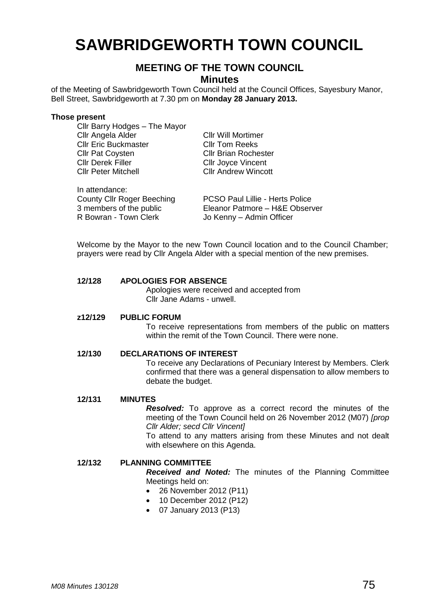# **SAWBRIDGEWORTH TOWN COUNCIL**

# **MEETING OF THE TOWN COUNCIL**

**Minutes**

of the Meeting of Sawbridgeworth Town Council held at the Council Offices, Sayesbury Manor, Bell Street, Sawbridgeworth at 7.30 pm on **Monday 28 January 2013.**

#### **Those present**

In attendance:

Cllr Barry Hodges – The Mayor Cllr Angela Alder Cllr Will Mortimer Cllr Eric Buckmaster Cllr Tom Reeks Cllr Pat Coysten Cllr Brian Rochester<br>Cllr Derek Filler Cllr Cllr Jovce Vincent Cllr Derek Filler Cllr Joyce Vincent<br>Cllr Peter Mitchell Cllr Andrew Winco

Cllr Andrew Wincott

County Cllr Roger Beeching PCSO Paul Lillie - Herts Police 3 members of the public Eleanor Patmore – H&E Observer<br>
R Bowran - Town Clerk Jo Kenny – Admin Officer Jo Kenny – Admin Officer

Welcome by the Mayor to the new Town Council location and to the Council Chamber; prayers were read by Cllr Angela Alder with a special mention of the new premises.

# **12/128 APOLOGIES FOR ABSENCE**

Apologies were received and accepted from Cllr Jane Adams - unwell.

#### **z12/129 PUBLIC FORUM**

To receive representations from members of the public on matters within the remit of the Town Council. There were none.

#### **12/130 DECLARATIONS OF INTEREST**

To receive any Declarations of Pecuniary Interest by Members. Clerk confirmed that there was a general dispensation to allow members to debate the budget.

# **12/131 MINUTES**

*Resolved:* To approve as a correct record the minutes of the meeting of the Town Council held on 26 November 2012 (M07) *[prop Cllr Alder; secd Cllr Vincent]*

To attend to any matters arising from these Minutes and not dealt with elsewhere on this Agenda.

#### **12/132 PLANNING COMMITTEE**

*Received and Noted:* The minutes of the Planning Committee Meetings held on:

- 26 November 2012 (P11)
- 10 December 2012 (P12)
- 07 January 2013 (P13)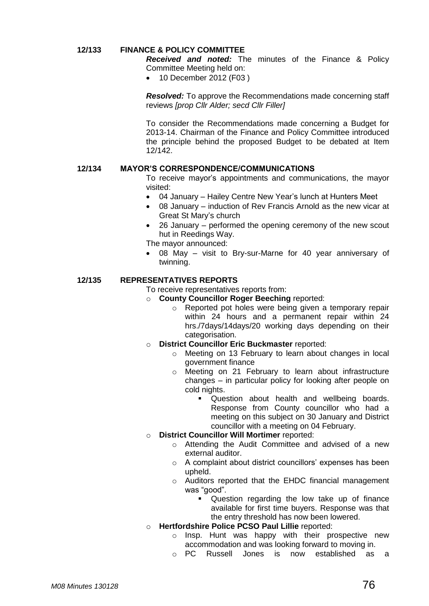# **12/133 FINANCE & POLICY COMMITTEE**

*Received and noted:* The minutes of the Finance & Policy Committee Meeting held on:

• 10 December 2012 (F03)

*Resolved:* To approve the Recommendations made concerning staff reviews *[prop Cllr Alder; secd Cllr Filler]*

To consider the Recommendations made concerning a Budget for 2013-14. Chairman of the Finance and Policy Committee introduced the principle behind the proposed Budget to be debated at Item 12/142.

# **12/134 MAYOR'S CORRESPONDENCE/COMMUNICATIONS**

To receive mayor's appointments and communications, the mayor visited:

- 04 January Hailey Centre New Year's lunch at Hunters Meet
- 08 January induction of Rev Francis Arnold as the new vicar at Great St Mary's church
- 26 January performed the opening ceremony of the new scout hut in Reedings Way.

The mayor announced:

 08 May – visit to Bry-sur-Marne for 40 year anniversary of twinning.

# **12/135 REPRESENTATIVES REPORTS**

#### To receive representatives reports from:

- o **County Councillor Roger Beeching** reported:
	- o Reported pot holes were being given a temporary repair within 24 hours and a permanent repair within 24 hrs./7days/14days/20 working days depending on their categorisation.
- o **District Councillor Eric Buckmaster** reported:
	- o Meeting on 13 February to learn about changes in local government finance
	- o Meeting on 21 February to learn about infrastructure changes – in particular policy for looking after people on cold nights.
		- **Question about health and wellbeing boards.** Response from County councillor who had a meeting on this subject on 30 January and District councillor with a meeting on 04 February.

# o **District Councillor Will Mortimer** reported:

- o Attending the Audit Committee and advised of a new external auditor.
- o A complaint about district councillors' expenses has been upheld.
- o Auditors reported that the EHDC financial management was "good".
	- Question regarding the low take up of finance available for first time buyers. Response was that the entry threshold has now been lowered.

# o **Hertfordshire Police PCSO Paul Lillie** reported:

- o Insp. Hunt was happy with their prospective new accommodation and was looking forward to moving in.
- o PC Russell Jones is now established as a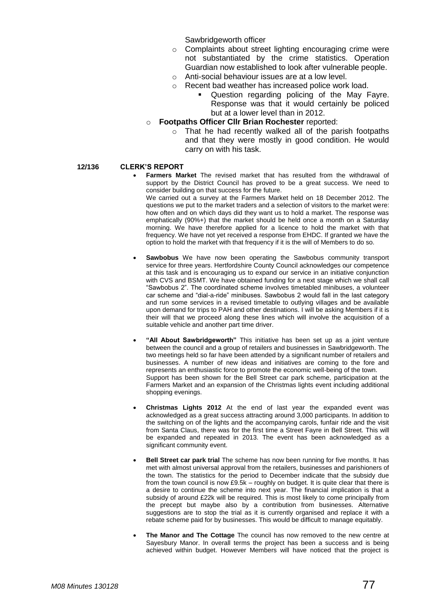Sawbridgeworth officer

- o Complaints about street lighting encouraging crime were not substantiated by the crime statistics. Operation Guardian now established to look after vulnerable people.
- o Anti-social behaviour issues are at a low level.
	- Recent bad weather has increased police work load.
		- Question regarding policing of the May Fayre. Response was that it would certainly be policed but at a lower level than in 2012.
- o **Footpaths Officer Cllr Brian Rochester** reported:
	- o That he had recently walked all of the parish footpaths and that they were mostly in good condition. He would carry on with his task.

#### **12/136 CLERK'S REPORT**

 **Farmers Market** The revised market that has resulted from the withdrawal of support by the District Council has proved to be a great success. We need to consider building on that success for the future.

We carried out a survey at the Farmers Market held on 18 December 2012. The questions we put to the market traders and a selection of visitors to the market were: how often and on which days did they want us to hold a market. The response was emphatically (90%+) that the market should be held once a month on a Saturday morning. We have therefore applied for a licence to hold the market with that frequency. We have not yet received a response from EHDC. If granted we have the option to hold the market with that frequency if it is the will of Members to do so.

- **Sawbobus** We have now been operating the Sawbobus community transport service for three years. Hertfordshire County Council acknowledges our competence at this task and is encouraging us to expand our service in an initiative conjunction with CVS and BSMT. We have obtained funding for a next stage which we shall call "Sawbobus 2". The coordinated scheme involves timetabled minibuses, a volunteer car scheme and "dial-a-ride" minibuses. Sawbobus 2 would fall in the last category and run some services in a revised timetable to outlying villages and be available upon demand for trips to PAH and other destinations. I will be asking Members if it is their will that we proceed along these lines which will involve the acquisition of a suitable vehicle and another part time driver.
- **"All About Sawbridgeworth"** This initiative has been set up as a joint venture between the council and a group of retailers and businesses in Sawbridgeworth. The two meetings held so far have been attended by a significant number of retailers and businesses. A number of new ideas and initiatives are coming to the fore and represents an enthusiastic force to promote the economic well-being of the town. Support has been shown for the Bell Street car park scheme, participation at the Farmers Market and an expansion of the Christmas lights event including additional shopping evenings.
- **Christmas Lights 2012** At the end of last year the expanded event was acknowledged as a great success attracting around 3,000 participants. In addition to the switching on of the lights and the accompanying carols, funfair ride and the visit from Santa Claus, there was for the first time a Street Fayre in Bell Street. This will be expanded and repeated in 2013. The event has been acknowledged as a significant community event.
- **Bell Street car park trial** The scheme has now been running for five months. It has met with almost universal approval from the retailers, businesses and parishioners of the town. The statistics for the period to December indicate that the subsidy due from the town council is now £9.5k – roughly on budget. It is quite clear that there is a desire to continue the scheme into next year. The financial implication is that a subsidy of around £22k will be required. This is most likely to come principally from the precept but maybe also by a contribution from businesses. Alternative suggestions are to stop the trial as it is currently organised and replace it with a rebate scheme paid for by businesses. This would be difficult to manage equitably.
- **The Manor and The Cottage** The council has now removed to the new centre at Sayesbury Manor. In overall terms the project has been a success and is being achieved within budget. However Members will have noticed that the project is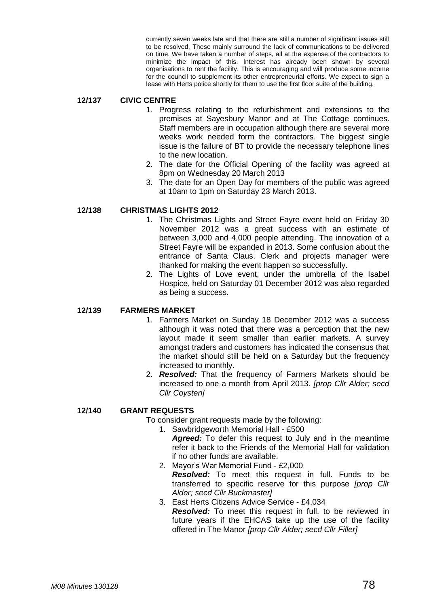currently seven weeks late and that there are still a number of significant issues still to be resolved. These mainly surround the lack of communications to be delivered on time. We have taken a number of steps, all at the expense of the contractors to minimize the impact of this. Interest has already been shown by several organisations to rent the facility. This is encouraging and will produce some income for the council to supplement its other entrepreneurial efforts. We expect to sign a lease with Herts police shortly for them to use the first floor suite of the building.

## **12/137 CIVIC CENTRE**

- 1. Progress relating to the refurbishment and extensions to the premises at Sayesbury Manor and at The Cottage continues. Staff members are in occupation although there are several more weeks work needed form the contractors. The biggest single issue is the failure of BT to provide the necessary telephone lines to the new location.
- 2. The date for the Official Opening of the facility was agreed at 8pm on Wednesday 20 March 2013
- 3. The date for an Open Day for members of the public was agreed at 10am to 1pm on Saturday 23 March 2013.

# **12/138 CHRISTMAS LIGHTS 2012**

- 1. The Christmas Lights and Street Fayre event held on Friday 30 November 2012 was a great success with an estimate of between 3,000 and 4,000 people attending. The innovation of a Street Fayre will be expanded in 2013. Some confusion about the entrance of Santa Claus. Clerk and projects manager were thanked for making the event happen so successfully.
- 2. The Lights of Love event, under the umbrella of the Isabel Hospice, held on Saturday 01 December 2012 was also regarded as being a success.

#### **12/139 FARMERS MARKET**

- 1. Farmers Market on Sunday 18 December 2012 was a success although it was noted that there was a perception that the new layout made it seem smaller than earlier markets. A survey amongst traders and customers has indicated the consensus that the market should still be held on a Saturday but the frequency increased to monthly.
- 2. *Resolved:* That the frequency of Farmers Markets should be increased to one a month from April 2013. *[prop Cllr Alder; secd Cllr Coysten]*

#### **12/140 GRANT REQUESTS**

- To consider grant requests made by the following:
	- 1. Sawbridgeworth Memorial Hall £500
		- *Agreed:* To defer this request to July and in the meantime refer it back to the Friends of the Memorial Hall for validation if no other funds are available.
	- 2. Mayor's War Memorial Fund £2,000 *Resolved:* To meet this request in full. Funds to be transferred to specific reserve for this purpose *[prop Cllr Alder; secd Cllr Buckmaster]*
	- 3. East Herts Citizens Advice Service £4,034 *Resolved:* To meet this request in full, to be reviewed in future years if the EHCAS take up the use of the facility offered in The Manor *[prop Cllr Alder; secd Cllr Filler]*